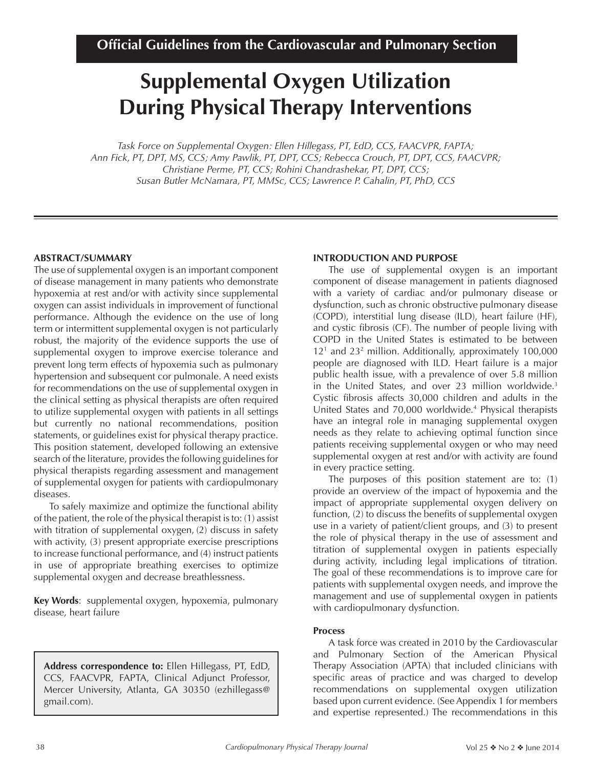# **Supplemental Oxygen Utilization During Physical Therapy Interventions**

*Task Force on Supplemental Oxygen: Ellen Hillegass, PT, EdD, CCS, FAACVPR, FAPTA; Ann Fick, PT, DPT, MS, CCS; Amy Pawlik, PT, DPT, CCS; Rebecca Crouch, PT, DPT, CCS, FAACVPR; Christiane Perme, PT, CCS; Rohini Chandrashekar, PT, DPT, CCS; Susan Butler McNamara, PT, MMSc, CCS; Lawrence P. Cahalin, PT, PhD, CCS*

## **ABSTRACT/SUMMARY**

The use of supplemental oxygen is an important component of disease management in many patients who demonstrate hypoxemia at rest and/or with activity since supplemental oxygen can assist individuals in improvement of functional performance. Although the evidence on the use of long term or intermittent supplemental oxygen is not particularly robust, the majority of the evidence supports the use of supplemental oxygen to improve exercise tolerance and prevent long term effects of hypoxemia such as pulmonary hypertension and subsequent cor pulmonale. A need exists for recommendations on the use of supplemental oxygen in the clinical setting as physical therapists are often required to utilize supplemental oxygen with patients in all settings but currently no national recommendations, position statements, or guidelines exist for physical therapy practice. This position statement, developed following an extensive search of the literature, provides the following guidelines for physical therapists regarding assessment and management of supplemental oxygen for patients with cardiopulmonary diseases.

To safely maximize and optimize the functional ability of the patient, the role of the physical therapist is to: (1) assist with titration of supplemental oxygen, (2) discuss in safety with activity, (3) present appropriate exercise prescriptions to increase functional performance, and (4) instruct patients in use of appropriate breathing exercises to optimize supplemental oxygen and decrease breathlessness.

**Key Words**: supplemental oxygen, hypoxemia, pulmonary disease, heart failure

**Address correspondence to:** Ellen Hillegass, PT, EdD, CCS, FAACVPR, FAPTA, Clinical Adjunct Professor, Mercer University, Atlanta, GA 30350 (ezhillegass@ gmail.com).

## **INTRODUCTION AND PURPOSE**

The use of supplemental oxygen is an important component of disease management in patients diagnosed with a variety of cardiac and/or pulmonary disease or dysfunction, such as chronic obstructive pulmonary disease (COPD), interstitial lung disease (ILD), heart failure (HF), and cystic fibrosis (CF). The number of people living with COPD in the United States is estimated to be between 121 and 232 million. Additionally, approximately 100,000 people are diagnosed with ILD. Heart failure is a major public health issue, with a prevalence of over 5.8 million in the United States, and over 23 million worldwide.<sup>3</sup> Cystic fibrosis affects 30,000 children and adults in the United States and 70,000 worldwide.4 Physical therapists have an integral role in managing supplemental oxygen needs as they relate to achieving optimal function since patients receiving supplemental oxygen or who may need supplemental oxygen at rest and/or with activity are found in every practice setting.

The purposes of this position statement are to: (1) provide an overview of the impact of hypoxemia and the impact of appropriate supplemental oxygen delivery on function, (2) to discuss the benefits of supplemental oxygen use in a variety of patient/client groups, and (3) to present the role of physical therapy in the use of assessment and titration of supplemental oxygen in patients especially during activity, including legal implications of titration. The goal of these recommendations is to improve care for patients with supplemental oxygen needs, and improve the management and use of supplemental oxygen in patients with cardiopulmonary dysfunction.

## **Process**

A task force was created in 2010 by the Cardiovascular and Pulmonary Section of the American Physical Therapy Association (APTA) that included clinicians with specific areas of practice and was charged to develop recommendations on supplemental oxygen utilization based upon current evidence. (See Appendix 1 for members and expertise represented.) The recommendations in this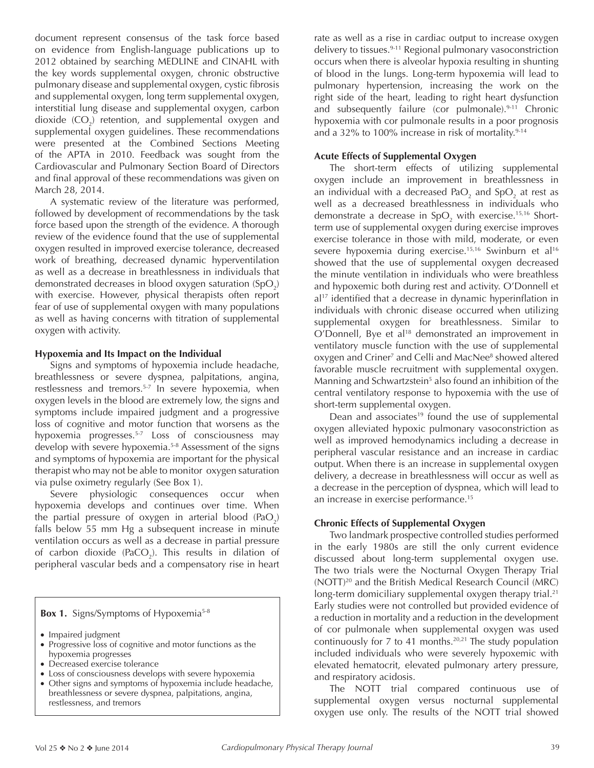document represent consensus of the task force based on evidence from English-language publications up to 2012 obtained by searching MEDLINE and CINAHL with the key words supplemental oxygen, chronic obstructive pulmonary disease and supplemental oxygen, cystic fibrosis and supplemental oxygen, long term supplemental oxygen, interstitial lung disease and supplemental oxygen, carbon dioxide  $(CO_2)$  retention, and supplemental oxygen and supplemental oxygen guidelines. These recommendations were presented at the Combined Sections Meeting of the APTA in 2010. Feedback was sought from the Cardiovascular and Pulmonary Section Board of Directors and final approval of these recommendations was given on March 28, 2014.

A systematic review of the literature was performed, followed by development of recommendations by the task force based upon the strength of the evidence. A thorough review of the evidence found that the use of supplemental oxygen resulted in improved exercise tolerance, decreased work of breathing, decreased dynamic hyperventilation as well as a decrease in breathlessness in individuals that demonstrated decreases in blood oxygen saturation (SpO<sub>2</sub>) with exercise. However, physical therapists often report fear of use of supplemental oxygen with many populations as well as having concerns with titration of supplemental oxygen with activity.

## **Hypoxemia and Its Impact on the Individual**

Signs and symptoms of hypoxemia include headache, breathlessness or severe dyspnea, palpitations, angina, restlessness and tremors.5-7 In severe hypoxemia, when oxygen levels in the blood are extremely low, the signs and symptoms include impaired judgment and a progressive loss of cognitive and motor function that worsens as the hypoxemia progresses.5-7 Loss of consciousness may develop with severe hypoxemia.<sup>5-8</sup> Assessment of the signs and symptoms of hypoxemia are important for the physical therapist who may not be able to monitor oxygen saturation via pulse oximetry regularly (See Box 1).

Severe physiologic consequences occur when hypoxemia develops and continues over time. When the partial pressure of oxygen in arterial blood (PaO<sub>2</sub>) falls below 55 mm Hg a subsequent increase in minute ventilation occurs as well as a decrease in partial pressure of carbon dioxide (PaCO<sub>2</sub>). This results in dilation of peripheral vascular beds and a compensatory rise in heart

## **Box 1.** Signs/Symptoms of Hypoxemia<sup>5-8</sup>

- Impaired judgment
- Progressive loss of cognitive and motor functions as the hypoxemia progresses
- Decreased exercise tolerance
- Loss of consciousness develops with severe hypoxemia
- Other signs and symptoms of hypoxemia include headache, breathlessness or severe dyspnea, palpitations, angina, restlessness, and tremors

rate as well as a rise in cardiac output to increase oxygen delivery to tissues.9-11 Regional pulmonary vasoconstriction occurs when there is alveolar hypoxia resulting in shunting of blood in the lungs. Long-term hypoxemia will lead to pulmonary hypertension, increasing the work on the right side of the heart, leading to right heart dysfunction and subsequently failure (cor pulmonale).<sup>9-11</sup> Chronic hypoxemia with cor pulmonale results in a poor prognosis and a 32% to 100% increase in risk of mortality.<sup>9-14</sup>

# **Acute Effects of Supplemental Oxygen**

The short-term effects of utilizing supplemental oxygen include an improvement in breathlessness in an individual with a decreased Pa $\mathrm{O}_2$  and Sp $\mathrm{O}_2$  at rest as well as a decreased breathlessness in individuals who demonstrate a decrease in SpO<sub>2</sub> with exercise.<sup>15,16</sup> Shortterm use of supplemental oxygen during exercise improves exercise tolerance in those with mild, moderate, or even severe hypoxemia during exercise.<sup>15,16</sup> Swinburn et al<sup>16</sup> showed that the use of supplemental oxygen decreased the minute ventilation in individuals who were breathless and hypoxemic both during rest and activity. O'Donnell et al<sup>17</sup> identified that a decrease in dynamic hyperinflation in individuals with chronic disease occurred when utilizing supplemental oxygen for breathlessness. Similar to O'Donnell, Bye et al<sup>18</sup> demonstrated an improvement in ventilatory muscle function with the use of supplemental oxygen and Criner<sup>7</sup> and Celli and MacNee<sup>8</sup> showed altered favorable muscle recruitment with supplemental oxygen. Manning and Schwartzstein<sup>5</sup> also found an inhibition of the central ventilatory response to hypoxemia with the use of short-term supplemental oxygen.

Dean and associates<sup>19</sup> found the use of supplemental oxygen alleviated hypoxic pulmonary vasoconstriction as well as improved hemodynamics including a decrease in peripheral vascular resistance and an increase in cardiac output. When there is an increase in supplemental oxygen delivery, a decrease in breathlessness will occur as well as a decrease in the perception of dyspnea, which will lead to an increase in exercise performance.15

# **Chronic Effects of Supplemental Oxygen**

Two landmark prospective controlled studies performed in the early 1980s are still the only current evidence discussed about long-term supplemental oxygen use. The two trials were the Nocturnal Oxygen Therapy Trial (NOTT)20 and the British Medical Research Council (MRC) long-term domiciliary supplemental oxygen therapy trial.<sup>21</sup> Early studies were not controlled but provided evidence of a reduction in mortality and a reduction in the development of cor pulmonale when supplemental oxygen was used continuously for  $7$  to 41 months.<sup>20,21</sup> The study population included individuals who were severely hypoxemic with elevated hematocrit, elevated pulmonary artery pressure, and respiratory acidosis.

The NOTT trial compared continuous use of supplemental oxygen versus nocturnal supplemental oxygen use only. The results of the NOTT trial showed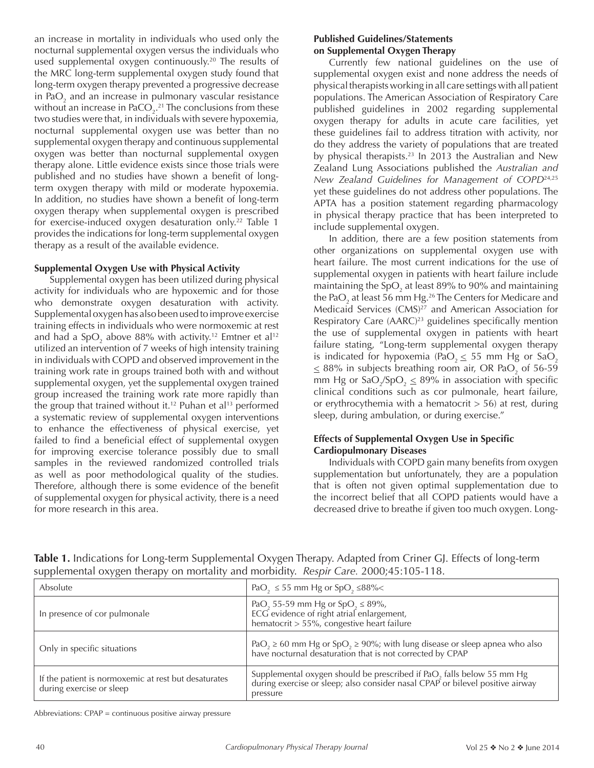an increase in mortality in individuals who used only the nocturnal supplemental oxygen versus the individuals who used supplemental oxygen continuously.<sup>20</sup> The results of the MRC long-term supplemental oxygen study found that long-term oxygen therapy prevented a progressive decrease in Pa $O_2$  and an increase in pulmonary vascular resistance without an increase in PaCO<sub>2</sub>.<sup>21</sup> The conclusions from these two studies were that, in individuals with severe hypoxemia, nocturnal supplemental oxygen use was better than no supplemental oxygen therapy and continuous supplemental oxygen was better than nocturnal supplemental oxygen therapy alone. Little evidence exists since those trials were published and no studies have shown a benefit of longterm oxygen therapy with mild or moderate hypoxemia. In addition, no studies have shown a benefit of long-term oxygen therapy when supplemental oxygen is prescribed for exercise-induced oxygen desaturation only.<sup>22</sup> Table 1 provides the indications for long-term supplemental oxygen therapy as a result of the available evidence.

## **Supplemental Oxygen Use with Physical Activity**

Supplemental oxygen has been utilized during physical activity for individuals who are hypoxemic and for those who demonstrate oxygen desaturation with activity. Supplemental oxygen has also been used to improve exercise training effects in individuals who were normoxemic at rest and had a SpO<sub>2</sub> above 88% with activity.<sup>12</sup> Emtner et al<sup>12</sup> utilized an intervention of 7 weeks of high intensity training in individuals with COPD and observed improvement in the training work rate in groups trained both with and without supplemental oxygen, yet the supplemental oxygen trained group increased the training work rate more rapidly than the group that trained without it.<sup>12</sup> Puhan et al<sup>13</sup> performed a systematic review of supplemental oxygen interventions to enhance the effectiveness of physical exercise, yet failed to find a beneficial effect of supplemental oxygen for improving exercise tolerance possibly due to small samples in the reviewed randomized controlled trials as well as poor methodological quality of the studies. Therefore, although there is some evidence of the benefit of supplemental oxygen for physical activity, there is a need for more research in this area.

## **Published Guidelines/Statements on Supplemental Oxygen Therapy**

Currently few national guidelines on the use of supplemental oxygen exist and none address the needs of physical therapists working in all care settings with all patient populations. The American Association of Respiratory Care published guidelines in 2002 regarding supplemental oxygen therapy for adults in acute care facilities, yet these guidelines fail to address titration with activity, nor do they address the variety of populations that are treated by physical therapists.<sup>23</sup> In 2013 the Australian and New Zealand Lung Associations published the *Australian and New Zealand Guidelines for Management of COPD*24,25 yet these guidelines do not address other populations. The APTA has a position statement regarding pharmacology in physical therapy practice that has been interpreted to include supplemental oxygen.

In addition, there are a few position statements from other organizations on supplemental oxygen use with heart failure. The most current indications for the use of supplemental oxygen in patients with heart failure include maintaining the SpO<sub>2</sub> at least 89% to 90% and maintaining the PaO $_{{\tiny 2}}$  at least 56 mm Hg. $^{26}$  The Centers for Medicare and Medicaid Services (CMS)<sup>27</sup> and American Association for Respiratory Care (AARC)<sup>23</sup> guidelines specifically mention the use of supplemental oxygen in patients with heart failure stating, "Long-term supplemental oxygen therapy is indicated for hypoxemia (PaO<sub>2</sub>  $\leq$  55 mm Hg or SaO<sub>2</sub>  $\leq$  88% in subjects breathing room air, OR PaO<sub>2</sub> of 56-59 mm Hg or  $\text{SaO}_2/\text{SpO}_2 \leq 89\%$  in association with specific clinical conditions such as cor pulmonale, heart failure, or erythrocythemia with a hematocrit  $> 56$ ) at rest, during sleep, during ambulation, or during exercise."

## **Effects of Supplemental Oxygen Use in Specific Cardiopulmonary Diseases**

Individuals with COPD gain many benefits from oxygen supplementation but unfortunately, they are a population that is often not given optimal supplementation due to the incorrect belief that all COPD patients would have a decreased drive to breathe if given too much oxygen. Long-

| Absolute                                                                         | PaO <sub>2</sub> $\leq$ 55 mm Hg or SpO <sub>2</sub> $\leq$ 88% $<$                                                                                                            |
|----------------------------------------------------------------------------------|--------------------------------------------------------------------------------------------------------------------------------------------------------------------------------|
| In presence of cor pulmonale                                                     | PaO <sub>2</sub> 55-59 mm Hg or SpO <sub>2</sub> $\leq$ 89%,<br>ECG evidence of right atrial enlargement,<br>hematocrit > 55%, congestive heart failure                        |
| Only in specific situations                                                      | PaO <sub>2</sub> $\geq$ 60 mm Hg or SpO <sub>2</sub> $\geq$ 90%; with lung disease or sleep apnea who also have nocturnal desaturation that is not corrected by CPAP           |
| If the patient is normoxemic at rest but desaturates<br>during exercise or sleep | Supplemental oxygen should be prescribed if PaO <sub>2</sub> falls below 55 mm Hg<br>during exercise or sleep; also consider nasal CPAP or bilevel positive airway<br>pressure |

**Table 1.** Indications for Long-term Supplemental Oxygen Therapy. Adapted from Criner GJ. Effects of long-term supplemental oxygen therapy on mortality and morbidity. *Respir Care.* 2000;45:105-118.

Abbreviations: CPAP = continuous positive airway pressure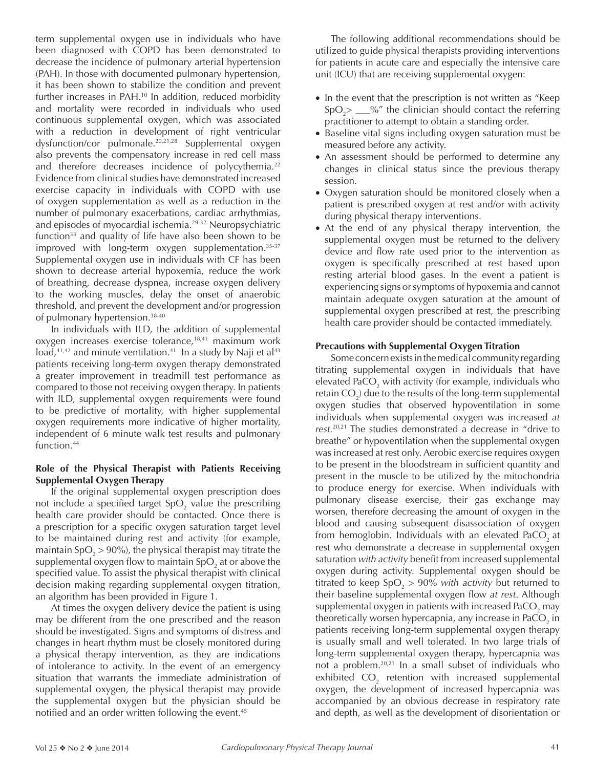term supplemental oxygen use in individuals who have been diagnosed with COPD has been demonstrated to decrease the incidence of pulmonary arterial hypertension (PAH). In those with documented pulmonary hypertension, it has been shown to stabilize the condition and prevent further increases in PAH.<sup>10</sup> In addition, reduced morbidity and mortality were recorded in individuals who used continuous supplemental oxygen, which was associated with a reduction in development of right ventricular dysfunction/cor pulmonale.20,21,28 Supplemental oxygen also prevents the compensatory increase in red cell mass and therefore decreases incidence of polycythemia.<sup>22</sup> Evidence from clinical studies have demonstrated increased exercise capacity in individuals with COPD with use of oxygen supplementation as well as a reduction in the number of pulmonary exacerbations, cardiac arrhythmias, and episodes of myocardial ischemia.29-32 Neuropsychiatric function $33$  and quality of life have also been shown to be improved with long-term oxygen supplementation.<sup>35-37</sup> Supplemental oxygen use in individuals with CF has been shown to decrease arterial hypoxemia, reduce the work of breathing, decrease dyspnea, increase oxygen delivery to the working muscles, delay the onset of anaerobic threshold, and prevent the development and/or progression of pulmonary hypertension.38-40

In individuals with ILD, the addition of supplemental oxygen increases exercise tolerance, $18,41$  maximum work  $load, 41, 42$  and minute ventilation.<sup>41</sup> In a study by Naji et al<sup>43</sup> patients receiving long-term oxygen therapy demonstrated a greater improvement in treadmill test performance as compared to those not receiving oxygen therapy. In patients with ILD, supplemental oxygen requirements were found to be predictive of mortality, with higher supplemental oxygen requirements more indicative of higher mortality, independent of 6 minute walk test results and pulmonary function.<sup>44</sup>

## **Role of the Physical Therapist with Patients Receiving Supplemental Oxygen Therapy**

If the original supplemental oxygen prescription does not include a specified target SpO<sub>2</sub> value the prescribing health care provider should be contacted. Once there is a prescription for a specific oxygen saturation target level to be maintained during rest and activity (for example, maintain SpO $_2$  > 90%), the physical therapist may titrate the supplemental oxygen flow to maintain SpO $_2$  at or above the specified value. To assist the physical therapist with clinical decision making regarding supplemental oxygen titration, an algorithm has been provided in Figure 1.

At times the oxygen delivery device the patient is using may be different from the one prescribed and the reason should be investigated. Signs and symptoms of distress and changes in heart rhythm must be closely monitored during a physical therapy intervention, as they are indications of intolerance to activity. In the event of an emergency situation that warrants the immediate administration of supplemental oxygen, the physical therapist may provide the supplemental oxygen but the physician should be notified and an order written following the event.<sup>45</sup>

The following additional recommendations should be utilized to guide physical therapists providing interventions for patients in acute care and especially the intensive care unit (ICU) that are receiving supplemental oxygen:

- In the event that the prescription is not written as "Keep  $SpO<sub>2</sub> > \_\_\%$ " the clinician should contact the referring practitioner to attempt to obtain a standing order.
- Baseline vital signs including oxygen saturation must be measured before any activity.
- An assessment should be performed to determine any changes in clinical status since the previous therapy session.
- Oxygen saturation should be monitored closely when a patient is prescribed oxygen at rest and/or with activity during physical therapy interventions.
- At the end of any physical therapy intervention, the supplemental oxygen must be returned to the delivery device and flow rate used prior to the intervention as oxygen is specifically prescribed at rest based upon resting arterial blood gases. In the event a patient is experiencing signs or symptoms of hypoxemia and cannot maintain adequate oxygen saturation at the amount of supplemental oxygen prescribed at rest, the prescribing health care provider should be contacted immediately.

# **Precautions with Supplemental Oxygen Titration**

Some concern exists in the medical community regarding titrating supplemental oxygen in individuals that have elevated PaCO $_{_2}$  with activity (for example, individuals who retain CO<sub>2</sub>) due to the results of the long-term supplemental oxygen studies that observed hypoventilation in some individuals when supplemental oxygen was increased *at rest.*20,21 The studies demonstrated a decrease in "drive to breathe" or hypoventilation when the supplemental oxygen was increased at rest only. Aerobic exercise requires oxygen to be present in the bloodstream in sufficient quantity and present in the muscle to be utilized by the mitochondria to produce energy for exercise. When individuals with pulmonary disease exercise, their gas exchange may worsen, therefore decreasing the amount of oxygen in the blood and causing subsequent disassociation of oxygen from hemoglobin. Individuals with an elevated PaCO<sub>2</sub> at rest who demonstrate a decrease in supplemental oxygen saturation *with activity* benefit from increased supplemental oxygen during activity. Supplemental oxygen should be titrated to keep SpO<sub>2</sub> > 90% *with activity* but returned to their baseline supplemental oxygen flow *at rest*. Although supplemental oxygen in patients with increased PaCO $_2$  may theoretically worsen hypercapnia, any increase in PaCO $_2$  in patients receiving long-term supplemental oxygen therapy is usually small and well tolerated. In two large trials of long-term supplemental oxygen therapy, hypercapnia was not a problem.20,21 In a small subset of individuals who exhibited  $\mathsf{CO}_2$  retention with increased supplemental oxygen, the development of increased hypercapnia was accompanied by an obvious decrease in respiratory rate and depth, as well as the development of disorientation or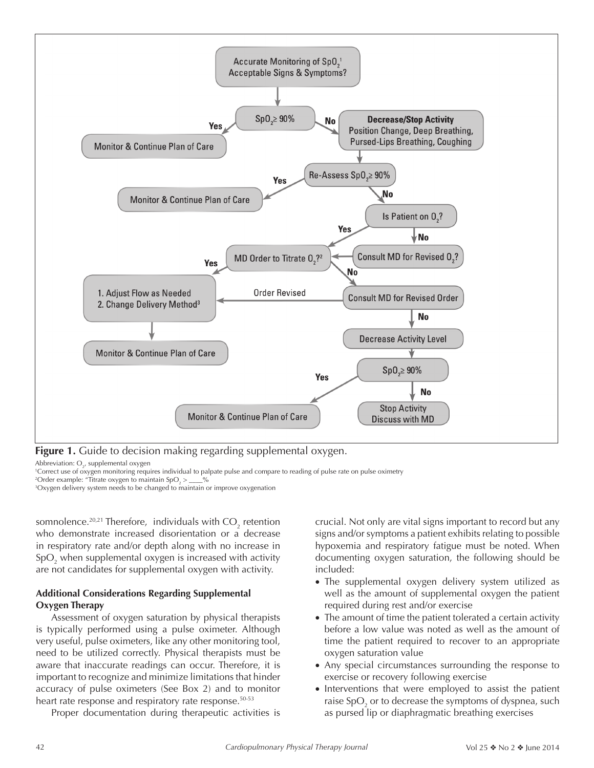

**Figure 1.** Guide to decision making regarding supplemental oxygen.

Abbreviation:  $O_{2'}$  supplemental oxygen

1 Correct use of oxygen monitoring requires individual to palpate pulse and compare to reading of pulse rate on pulse oximetry

<sup>2</sup>Order example: "Titrate oxygen to maintain SpO<sub>2</sub> >  $\_\_\_\\%$ 

3 Oxygen delivery system needs to be changed to maintain or improve oxygenation

somnolence.<sup>20,21</sup> Therefore, individuals with  $CO_2$  retention who demonstrate increased disorientation or a decrease in respiratory rate and/or depth along with no increase in  $SpO<sub>2</sub>$  when supplemental oxygen is increased with activity are not candidates for supplemental oxygen with activity.

## **Additional Considerations Regarding Supplemental Oxygen Therapy**

Assessment of oxygen saturation by physical therapists is typically performed using a pulse oximeter. Although very useful, pulse oximeters, like any other monitoring tool, need to be utilized correctly. Physical therapists must be aware that inaccurate readings can occur. Therefore, it is important to recognize and minimize limitations that hinder accuracy of pulse oximeters (See Box 2) and to monitor heart rate response and respiratory rate response.<sup>50-53</sup>

Proper documentation during therapeutic activities is

crucial. Not only are vital signs important to record but any signs and/or symptoms a patient exhibits relating to possible hypoxemia and respiratory fatigue must be noted. When documenting oxygen saturation, the following should be included:

- The supplemental oxygen delivery system utilized as well as the amount of supplemental oxygen the patient required during rest and/or exercise
- The amount of time the patient tolerated a certain activity before a low value was noted as well as the amount of time the patient required to recover to an appropriate oxygen saturation value
- Any special circumstances surrounding the response to exercise or recovery following exercise
- Interventions that were employed to assist the patient raise SpO $_{\textrm{\tiny{2}}}$  or to decrease the symptoms of dyspnea, such as pursed lip or diaphragmatic breathing exercises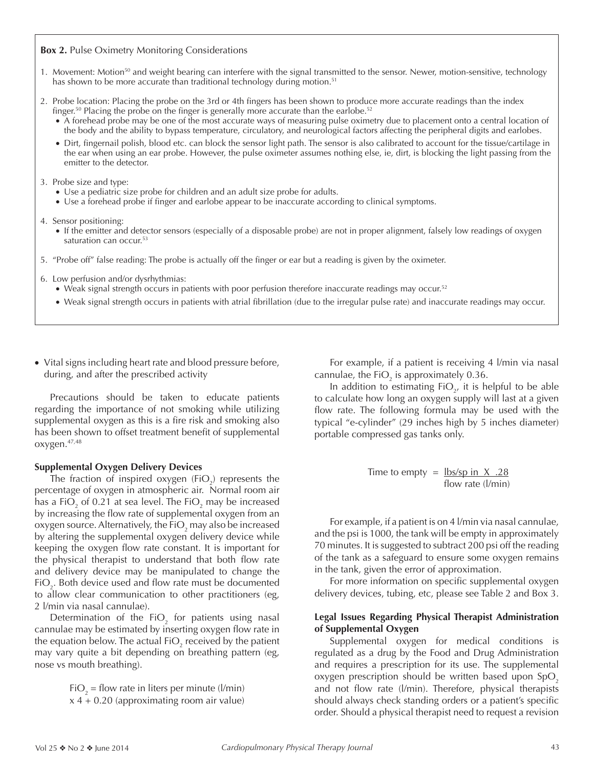## **Box 2.** Pulse Oximetry Monitoring Considerations

- 1. Movement: Motion<sup>50</sup> and weight bearing can interfere with the signal transmitted to the sensor. Newer, motion-sensitive, technology has shown to be more accurate than traditional technology during motion.<sup>51</sup>
- 2. Probe location: Placing the probe on the 3rd or 4th fingers has been shown to produce more accurate readings than the index finger.<sup>50</sup> Placing the probe on the finger is generally more accurate than the earlobe.<sup>52</sup>
	- A forehead probe may be one of the most accurate ways of measuring pulse oximetry due to placement onto a central location of the body and the ability to bypass temperature, circulatory, and neurological factors affecting the peripheral digits and earlobes.
	- Dirt, fingernail polish, blood etc. can block the sensor light path. The sensor is also calibrated to account for the tissue/cartilage in the ear when using an ear probe. However, the pulse oximeter assumes nothing else, ie, dirt, is blocking the light passing from the emitter to the detector.

#### 3. Probe size and type:

- Use a pediatric size probe for children and an adult size probe for adults.
- Use a forehead probe if finger and earlobe appear to be inaccurate according to clinical symptoms.
- 4. Sensor positioning:
	- If the emitter and detector sensors (especially of a disposable probe) are not in proper alignment, falsely low readings of oxygen saturation can occur.<sup>53</sup>
- 5. "Probe off" false reading: The probe is actually off the finger or ear but a reading is given by the oximeter.
- 6. Low perfusion and/or dysrhythmias:
	- Weak signal strength occurs in patients with poor perfusion therefore inaccurate readings may occur.<sup>52</sup>
	- Weak signal strength occurs in patients with atrial fibrillation (due to the irregular pulse rate) and inaccurate readings may occur.
- Vital signs including heart rate and blood pressure before, during, and after the prescribed activity

Precautions should be taken to educate patients regarding the importance of not smoking while utilizing supplemental oxygen as this is a fire risk and smoking also has been shown to offset treatment benefit of supplemental oxygen.47,48

## **Supplemental Oxygen Delivery Devices**

The fraction of inspired oxygen (FiO<sub>2</sub>) represents the percentage of oxygen in atmospheric air. Normal room air has a FiO<sub>2</sub> of 0.21 at sea level. The FiO<sub>2</sub> may be increased by increasing the flow rate of supplemental oxygen from an oxygen source. Alternatively, the FiO<sub>2</sub> may also be increased by altering the supplemental oxygen delivery device while keeping the oxygen flow rate constant. It is important for the physical therapist to understand that both flow rate and delivery device may be manipulated to change the FiO<sub>2</sub>. Both device used and flow rate must be documented to allow clear communication to other practitioners (eg, 2 l/min via nasal cannulae).

Determination of the  $FiO_2$  for patients using nasal cannulae may be estimated by inserting oxygen flow rate in the equation below. The actual FiO $_2$  received by the patient may vary quite a bit depending on breathing pattern (eg, nose vs mouth breathing).

> $FiO_2 =$  flow rate in liters per minute (l/min)  $x$  4 + 0.20 (approximating room air value)

For example, if a patient is receiving 4 l/min via nasal cannulae, the FiO<sub>2</sub> is approximately 0.36.

In addition to estimating  $FiO_{2'}$  it is helpful to be able to calculate how long an oxygen supply will last at a given flow rate. The following formula may be used with the typical "e-cylinder" (29 inches high by 5 inches diameter) portable compressed gas tanks only.

Time to empty = 
$$
\frac{\text{lbs/sp in X .28}}{\text{flow rate (l/min)}}
$$

For example, if a patient is on 4 l/min via nasal cannulae, and the psi is 1000, the tank will be empty in approximately 70 minutes. It is suggested to subtract 200 psi off the reading of the tank as a safeguard to ensure some oxygen remains in the tank, given the error of approximation.

For more information on specific supplemental oxygen delivery devices, tubing, etc, please see Table 2 and Box 3.

## **Legal Issues Regarding Physical Therapist Administration of Supplemental Oxygen**

Supplemental oxygen for medical conditions is regulated as a drug by the Food and Drug Administration and requires a prescription for its use. The supplemental oxygen prescription should be written based upon  $SpO<sub>2</sub>$ and not flow rate (l/min). Therefore, physical therapists should always check standing orders or a patient's specific order. Should a physical therapist need to request a revision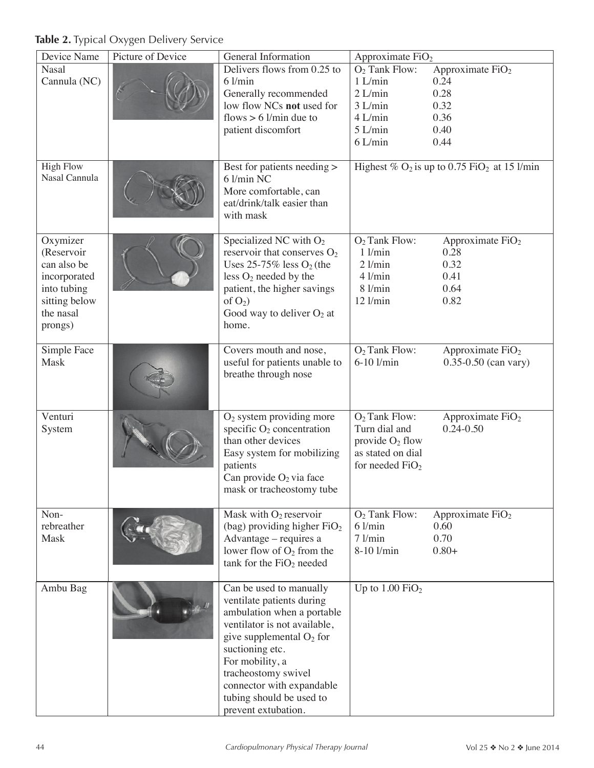**Table 2.** Typical Oxygen Delivery Service

| Picture of Device<br>Device Name<br>General Information<br>Approximate FiO <sub>2</sub>                                                                                                                          |                          |  |
|------------------------------------------------------------------------------------------------------------------------------------------------------------------------------------------------------------------|--------------------------|--|
| Delivers flows from 0.25 to<br><b>Nasal</b><br>$O2$ Tank Flow:<br>Approximate FiO <sub>2</sub>                                                                                                                   |                          |  |
| Cannula (NC)<br>$6$ l/min<br>$1$ L/min<br>0.24                                                                                                                                                                   |                          |  |
| 0.28<br>Generally recommended<br>$2$ L/min                                                                                                                                                                       |                          |  |
| low flow NCs not used for<br>0.32<br>$3$ L/min                                                                                                                                                                   |                          |  |
| flows $> 6$ l/min due to<br>$4$ L/min<br>0.36                                                                                                                                                                    |                          |  |
| $5$ L/min<br>0.40<br>patient discomfort                                                                                                                                                                          |                          |  |
| $6$ L/min<br>0.44                                                                                                                                                                                                |                          |  |
|                                                                                                                                                                                                                  |                          |  |
| <b>High Flow</b><br>Highest % $O_2$ is up to 0.75 FiO <sub>2</sub> at 15 l/min<br>Best for patients needing ><br>Nasal Cannula<br>6 l/min NC<br>More comfortable, can<br>eat/drink/talk easier than<br>with mask |                          |  |
| Oxymizer<br>$O2$ Tank Flow:<br>Approximate FiO <sub>2</sub><br>Specialized NC with $O_2$                                                                                                                         |                          |  |
| (Reservoir<br>$1$ $1/\text{min}$<br>reservoir that conserves $O_2$<br>0.28                                                                                                                                       |                          |  |
| Uses $25-75\%$ less $O_2$ (the<br>$2$ $1/min$<br>0.32<br>can also be                                                                                                                                             |                          |  |
| 0.41<br>$4$ $l/min$<br>less $O_2$ needed by the<br>incorporated                                                                                                                                                  |                          |  |
| $8$ $1/min$<br>0.64<br>into tubing<br>patient, the higher savings                                                                                                                                                |                          |  |
| $12$ $l/min$<br>0.82<br>sitting below<br>of $O_2$ )                                                                                                                                                              |                          |  |
| Good way to deliver $O_2$ at<br>the nasal                                                                                                                                                                        |                          |  |
| prongs)<br>home.                                                                                                                                                                                                 |                          |  |
|                                                                                                                                                                                                                  |                          |  |
| $O2$ Tank Flow:<br>Simple Face<br>Covers mouth and nose,<br>Approximate FiO <sub>2</sub>                                                                                                                         |                          |  |
| useful for patients unable to<br>Mask<br>$6-10$ l/min                                                                                                                                                            | $0.35 - 0.50$ (can vary) |  |
| breathe through nose                                                                                                                                                                                             |                          |  |
| Venturi<br>$O2$ system providing more<br>$O2$ Tank Flow:<br>Approximate $FiO2$                                                                                                                                   |                          |  |
| specific $O_2$ concentration<br>Turn dial and<br>$0.24 - 0.50$<br>System                                                                                                                                         |                          |  |
| than other devices<br>provide $O_2$ flow                                                                                                                                                                         |                          |  |
| Easy system for mobilizing<br>as stated on dial                                                                                                                                                                  |                          |  |
| patients<br>for needed $FiO2$                                                                                                                                                                                    |                          |  |
| Can provide O <sub>2</sub> via face                                                                                                                                                                              |                          |  |
| mask or tracheostomy tube                                                                                                                                                                                        |                          |  |
|                                                                                                                                                                                                                  |                          |  |
| Mask with O <sub>2</sub> reservoir<br>Non-<br>$O2$ Tank Flow:<br>Approximate FiO <sub>2</sub>                                                                                                                    |                          |  |
| $6$ l/min<br>0.60<br>rebreather<br>(bag) providing higher $FiO2$                                                                                                                                                 |                          |  |
| Mask<br>Advantage - requires a<br>71/min<br>0.70                                                                                                                                                                 |                          |  |
| lower flow of $O_2$ from the<br>8-10 l/min<br>$0.80+$                                                                                                                                                            |                          |  |
| tank for the $FiO2$ needed                                                                                                                                                                                       |                          |  |
| Up to $1.00$ FiO <sub>2</sub><br>Can be used to manually<br>Ambu Bag                                                                                                                                             |                          |  |
| ventilate patients during                                                                                                                                                                                        |                          |  |
| ambulation when a portable                                                                                                                                                                                       |                          |  |
| ventilator is not available,                                                                                                                                                                                     |                          |  |
| give supplemental $O_2$ for                                                                                                                                                                                      |                          |  |
| suctioning etc.                                                                                                                                                                                                  |                          |  |
| For mobility, a                                                                                                                                                                                                  |                          |  |
| tracheostomy swivel                                                                                                                                                                                              |                          |  |
|                                                                                                                                                                                                                  |                          |  |
| connector with expandable<br>tubing should be used to                                                                                                                                                            |                          |  |
|                                                                                                                                                                                                                  |                          |  |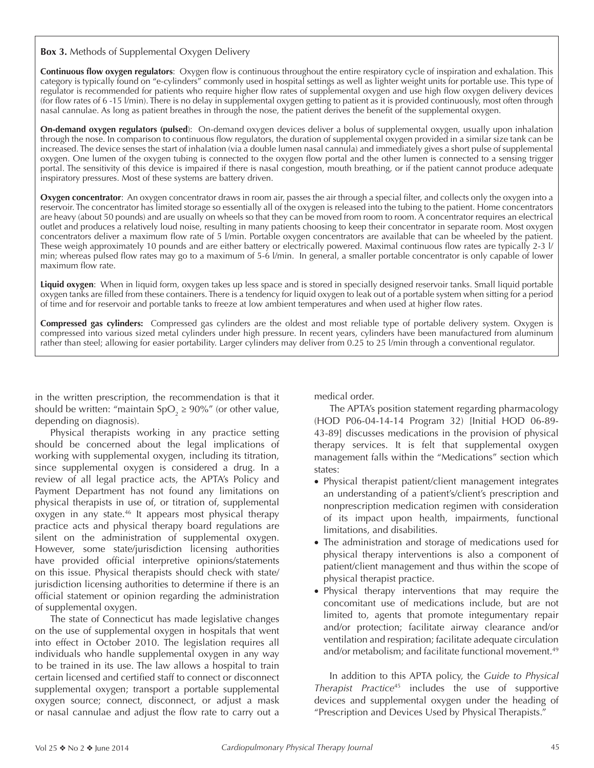**Box 3.** Methods of Supplemental Oxygen Delivery

**Continuous flow oxygen regulators**: Oxygen flow is continuous throughout the entire respiratory cycle of inspiration and exhalation. This category is typically found on "e-cylinders" commonly used in hospital settings as well as lighter weight units for portable use. This type of regulator is recommended for patients who require higher flow rates of supplemental oxygen and use high flow oxygen delivery devices (for flow rates of 6 -15 l/min). There is no delay in supplemental oxygen getting to patient as it is provided continuously, most often through nasal cannulae. As long as patient breathes in through the nose, the patient derives the benefit of the supplemental oxygen.

**On-demand oxygen regulators (pulsed**): On-demand oxygen devices deliver a bolus of supplemental oxygen, usually upon inhalation through the nose. In comparison to continuous flow regulators, the duration of supplemental oxygen provided in a similar size tank can be increased. The device senses the start of inhalation (via a double lumen nasal cannula) and immediately gives a short pulse of supplemental oxygen. One lumen of the oxygen tubing is connected to the oxygen flow portal and the other lumen is connected to a sensing trigger portal. The sensitivity of this device is impaired if there is nasal congestion, mouth breathing, or if the patient cannot produce adequate inspiratory pressures. Most of these systems are battery driven.

**Oxygen concentrator**: An oxygen concentrator draws in room air, passes the air through a special filter, and collects only the oxygen into a reservoir. The concentrator has limited storage so essentially all of the oxygen is released into the tubing to the patient. Home concentrators are heavy (about 50 pounds) and are usually on wheels so that they can be moved from room to room. A concentrator requires an electrical outlet and produces a relatively loud noise, resulting in many patients choosing to keep their concentrator in separate room. Most oxygen concentrators deliver a maximum flow rate of 5 l/min. Portable oxygen concentrators are available that can be wheeled by the patient. These weigh approximately 10 pounds and are either battery or electrically powered. Maximal continuous flow rates are typically 2-3 l/ min; whereas pulsed flow rates may go to a maximum of 5-6 l/min. In general, a smaller portable concentrator is only capable of lower maximum flow rate.

**Liquid oxygen**: When in liquid form, oxygen takes up less space and is stored in specially designed reservoir tanks. Small liquid portable oxygen tanks are filled from these containers. There is a tendency for liquid oxygen to leak out of a portable system when sitting for a period of time and for reservoir and portable tanks to freeze at low ambient temperatures and when used at higher flow rates.

**Compressed gas cylinders:** Compressed gas cylinders are the oldest and most reliable type of portable delivery system. Oxygen is compressed into various sized metal cylinders under high pressure. In recent years, cylinders have been manufactured from aluminum rather than steel; allowing for easier portability. Larger cylinders may deliver from 0.25 to 25 l/min through a conventional regulator.

in the written prescription, the recommendation is that it should be written: "maintain SpO<sub>2</sub>  $\geq$  90%" (or other value, depending on diagnosis).

Physical therapists working in any practice setting should be concerned about the legal implications of working with supplemental oxygen, including its titration, since supplemental oxygen is considered a drug. In a review of all legal practice acts, the APTA's Policy and Payment Department has not found any limitations on physical therapists in use of, or titration of, supplemental oxygen in any state.<sup>46</sup> It appears most physical therapy practice acts and physical therapy board regulations are silent on the administration of supplemental oxygen. However, some state/jurisdiction licensing authorities have provided official interpretive opinions/statements on this issue. Physical therapists should check with state/ jurisdiction licensing authorities to determine if there is an official statement or opinion regarding the administration of supplemental oxygen.

The state of Connecticut has made legislative changes on the use of supplemental oxygen in hospitals that went into effect in October 2010. The legislation requires all individuals who handle supplemental oxygen in any way to be trained in its use. The law allows a hospital to train certain licensed and certified staff to connect or disconnect supplemental oxygen; transport a portable supplemental oxygen source; connect, disconnect, or adjust a mask or nasal cannulae and adjust the flow rate to carry out a medical order.

The APTA's position statement regarding pharmacology (HOD P06-04-14-14 Program 32) [Initial HOD 06-89- 43-89] discusses medications in the provision of physical therapy services. It is felt that supplemental oxygen management falls within the "Medications" section which states:

- Physical therapist patient/client management integrates an understanding of a patient's/client's prescription and nonprescription medication regimen with consideration of its impact upon health, impairments, functional limitations, and disabilities.
- The administration and storage of medications used for physical therapy interventions is also a component of patient/client management and thus within the scope of physical therapist practice.
- Physical therapy interventions that may require the concomitant use of medications include, but are not limited to, agents that promote integumentary repair and/or protection; facilitate airway clearance and/or ventilation and respiration; facilitate adequate circulation and/or metabolism; and facilitate functional movement.<sup>49</sup>

In addition to this APTA policy, the *Guide to Physical Therapist Practice*45 includes the use of supportive devices and supplemental oxygen under the heading of "Prescription and Devices Used by Physical Therapists."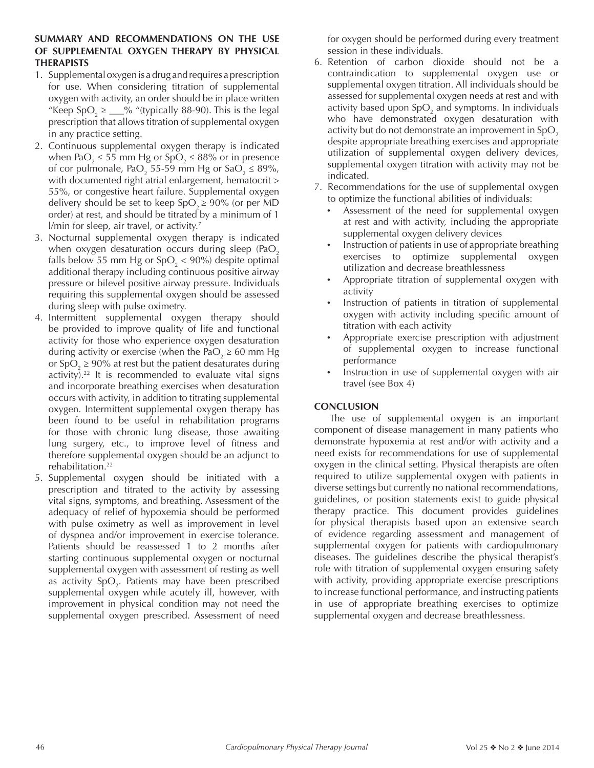## **SUMMARY AND RECOMMENDATIONS ON THE USE OF SUPPLEMENTAL OXYGEN THERAPY BY PHYSICAL THERAPISTS**

- 1. Supplemental oxygen is a drug and requires a prescription for use. When considering titration of supplemental oxygen with activity, an order should be in place written "Keep  $SpO_2 \geq \_\_\_%$  "(typically 88-90). This is the legal prescription that allows titration of supplemental oxygen in any practice setting.
- 2. Continuous supplemental oxygen therapy is indicated when PaO<sub>2</sub>  $\leq$  55 mm Hg or SpO<sub>2</sub>  $\leq$  88% or in presence of cor pulmonale, PaO<sub>2</sub> 55-59 mm Hg or SaO<sub>2</sub>  $\leq$  89%, with documented right atrial enlargement, hematocrit > 55%, or congestive heart failure. Supplemental oxygen delivery should be set to keep  $SpO<sub>2</sub> \ge 90\%$  (or per MD order) at rest, and should be titrated by a minimum of 1 l/min for sleep, air travel, or activity.<sup>7</sup>
- 3. Nocturnal supplemental oxygen therapy is indicated when oxygen desaturation occurs during sleep (PaO<sub>2</sub>) falls below 55 mm Hg or  $SpO<sub>2</sub> < 90%$  despite optimal additional therapy including continuous positive airway pressure or bilevel positive airway pressure. Individuals requiring this supplemental oxygen should be assessed during sleep with pulse oximetry.
- 4. Intermittent supplemental oxygen therapy should be provided to improve quality of life and functional activity for those who experience oxygen desaturation during activity or exercise (when the PaO $_2$   $\geq 60$  mm Hg or SpO<sub>2</sub>  $\geq$  90% at rest but the patient desaturates during activity).<sup>22</sup> It is recommended to evaluate vital signs and incorporate breathing exercises when desaturation occurs with activity, in addition to titrating supplemental oxygen. Intermittent supplemental oxygen therapy has been found to be useful in rehabilitation programs for those with chronic lung disease, those awaiting lung surgery, etc., to improve level of fitness and therefore supplemental oxygen should be an adjunct to rehabilitation.<sup>22</sup>
- 5. Supplemental oxygen should be initiated with a prescription and titrated to the activity by assessing vital signs, symptoms, and breathing. Assessment of the adequacy of relief of hypoxemia should be performed with pulse oximetry as well as improvement in level of dyspnea and/or improvement in exercise tolerance. Patients should be reassessed 1 to 2 months after starting continuous supplemental oxygen or nocturnal supplemental oxygen with assessment of resting as well as activity  $SpO<sub>2</sub>$ . Patients may have been prescribed supplemental oxygen while acutely ill, however, with improvement in physical condition may not need the supplemental oxygen prescribed. Assessment of need

for oxygen should be performed during every treatment session in these individuals.

- 6. Retention of carbon dioxide should not be a contraindication to supplemental oxygen use or supplemental oxygen titration. All individuals should be assessed for supplemental oxygen needs at rest and with activity based upon SpO $_2$  and symptoms. In individuals who have demonstrated oxygen desaturation with activity but do not demonstrate an improvement in  $SpO<sub>2</sub>$ despite appropriate breathing exercises and appropriate utilization of supplemental oxygen delivery devices, supplemental oxygen titration with activity may not be indicated.
- 7. Recommendations for the use of supplemental oxygen to optimize the functional abilities of individuals:
	- Assessment of the need for supplemental oxygen at rest and with activity, including the appropriate supplemental oxygen delivery devices
	- Instruction of patients in use of appropriate breathing exercises to optimize supplemental oxygen utilization and decrease breathlessness
	- Appropriate titration of supplemental oxygen with activity
	- Instruction of patients in titration of supplemental oxygen with activity including specific amount of titration with each activity
	- Appropriate exercise prescription with adjustment of supplemental oxygen to increase functional performance
	- Instruction in use of supplemental oxygen with air travel (see Box 4)

## **CONCLUSION**

The use of supplemental oxygen is an important component of disease management in many patients who demonstrate hypoxemia at rest and/or with activity and a need exists for recommendations for use of supplemental oxygen in the clinical setting. Physical therapists are often required to utilize supplemental oxygen with patients in diverse settings but currently no national recommendations, guidelines, or position statements exist to guide physical therapy practice. This document provides guidelines for physical therapists based upon an extensive search of evidence regarding assessment and management of supplemental oxygen for patients with cardiopulmonary diseases. The guidelines describe the physical therapist's role with titration of supplemental oxygen ensuring safety with activity, providing appropriate exercise prescriptions to increase functional performance, and instructing patients in use of appropriate breathing exercises to optimize supplemental oxygen and decrease breathlessness.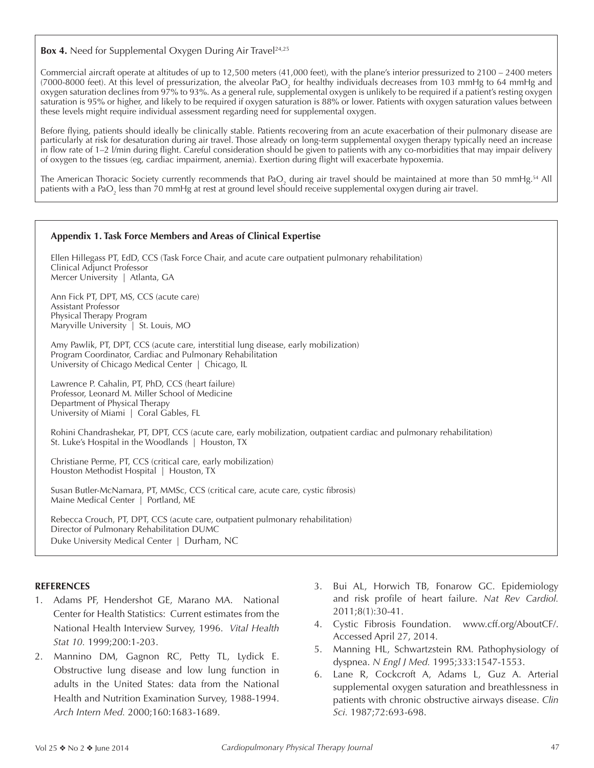**Box 4.** Need for Supplemental Oxygen During Air Travel<sup>24,25</sup>

Commercial aircraft operate at altitudes of up to 12,500 meters (41,000 feet), with the plane's interior pressurized to 2100 – 2400 meters (7000-8000 feet). At this level of pressurization, the alveolar PaO<sub>2</sub> for healthy individuals decreases from 103 mmHg to 64 mmHg and oxygen saturation declines from 97% to 93%. As a general rule, supplemental oxygen is unlikely to be required if a patient's resting oxygen saturation is 95% or higher, and likely to be required if oxygen saturation is 88% or lower. Patients with oxygen saturation values between these levels might require individual assessment regarding need for supplemental oxygen.

Before flying, patients should ideally be clinically stable. Patients recovering from an acute exacerbation of their pulmonary disease are particularly at risk for desaturation during air travel. Those already on long-term supplemental oxygen therapy typically need an increase in flow rate of 1–2 l/min during flight. Careful consideration should be given to patients with any co-morbidities that may impair delivery of oxygen to the tissues (eg, cardiac impairment, anemia). Exertion during flight will exacerbate hypoxemia.

The American Thoracic Society currently recommends that PaO<sub>2</sub> during air travel should be maintained at more than 50 mmHg.<sup>54</sup> All patients with a PaO $_2$  less than 70 mmHg at rest at ground level should receive supplemental oxygen during air travel.

## **Appendix 1. Task Force Members and Areas of Clinical Expertise**

Ellen Hillegass PT, EdD, CCS (Task Force Chair, and acute care outpatient pulmonary rehabilitation) Clinical Adjunct Professor Mercer University | Atlanta, GA

Ann Fick PT, DPT, MS, CCS (acute care) Assistant Professor Physical Therapy Program Maryville University | St. Louis, MO

Amy Pawlik, PT, DPT, CCS (acute care, interstitial lung disease, early mobilization) Program Coordinator, Cardiac and Pulmonary Rehabilitation University of Chicago Medical Center | Chicago, IL

Lawrence P. Cahalin, PT, PhD, CCS (heart failure) Professor, Leonard M. Miller School of Medicine Department of Physical Therapy University of Miami | Coral Gables, FL

Rohini Chandrashekar, PT, DPT, CCS (acute care, early mobilization, outpatient cardiac and pulmonary rehabilitation) St. Luke's Hospital in the Woodlands | Houston, TX

Christiane Perme, PT, CCS (critical care, early mobilization) Houston Methodist Hospital | Houston, TX

Susan Butler-McNamara, PT, MMSc, CCS (critical care, acute care, cystic fibrosis) Maine Medical Center | Portland, ME

Rebecca Crouch, PT, DPT, CCS (acute care, outpatient pulmonary rehabilitation) Director of Pulmonary Rehabilitation DUMC Duke University Medical Center | Durham, NC

## **REFERENCES**

- 1. Adams PF, Hendershot GE, Marano MA. National Center for Health Statistics: Current estimates from the National Health Interview Survey, 1996. *Vital Health Stat 10.* 1999;200:1-203.
- 2. Mannino DM, Gagnon RC, Petty TL, Lydick E. Obstructive lung disease and low lung function in adults in the United States: data from the National Health and Nutrition Examination Survey, 1988-1994. *Arch Intern Med.* 2000;160:1683-1689.
- 3. Bui AL, Horwich TB, Fonarow GC. Epidemiology and risk profile of heart failure. *Nat Rev Cardiol.* 2011;8(1):30-41.
- 4. Cystic Fibrosis Foundation. www.cff.org/AboutCF/. Accessed April 27, 2014.
- 5. Manning HL, Schwartzstein RM. Pathophysiology of dyspnea. *N Engl J Med.* 1995;333:1547-1553.
- 6. Lane R, Cockcroft A, Adams L, Guz A. Arterial supplemental oxygen saturation and breathlessness in patients with chronic obstructive airways disease. *Clin Sci.* 1987;72:693-698.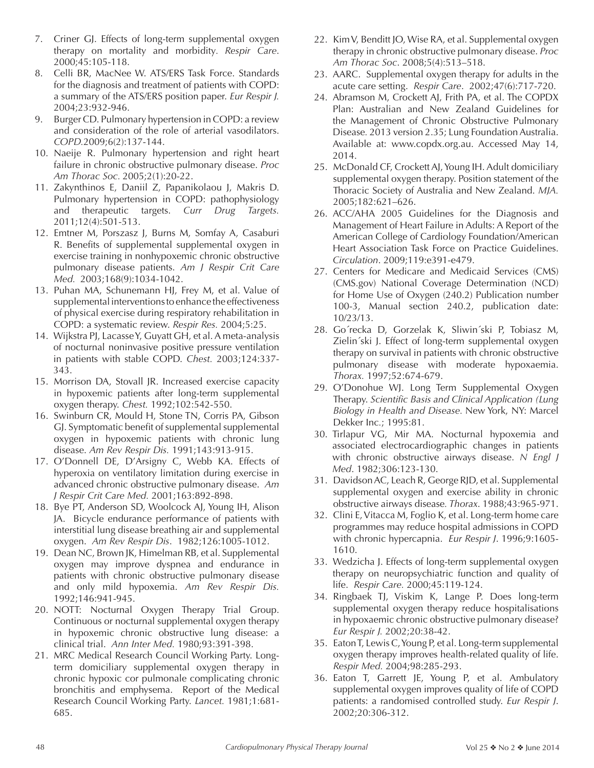- 7. Criner GJ. Effects of long-term supplemental oxygen therapy on mortality and morbidity*. Respir Care*. 2000;45:105-118.
- 8. Celli BR, MacNee W. ATS/ERS Task Force. Standards for the diagnosis and treatment of patients with COPD: a summary of the ATS/ERS position paper. *Eur Respir J.* 2004;23:932-946.
- 9. Burger CD. Pulmonary hypertension in COPD: a review and consideration of the role of arterial vasodilators. *COPD.*2009;6(2):137-144.
- 10. Naeije R. Pulmonary hypertension and right heart failure in chronic obstructive pulmonary disease. *Proc Am Thorac Soc.* 2005;2(1):20-22.
- 11. Zakynthinos E, Daniil Z, Papanikolaou J, Makris D. Pulmonary hypertension in COPD: pathophysiology and therapeutic targets. *Curr Drug Targets.* 2011;12(4):501-513.
- 12. Emtner M, Porszasz J, Burns M, Somfay A, Casaburi R. Benefits of supplemental supplemental oxygen in exercise training in nonhypoxemic chronic obstructive pulmonary disease patients. *Am J Respir Crit Care Med.* 2003;168(9):1034-1042.
- 13. Puhan MA, Schunemann HJ, Frey M, et al. Value of supplemental interventions to enhance the effectiveness of physical exercise during respiratory rehabilitation in COPD: a systematic review. *Respir Res.* 2004;5:25.
- 14. Wijkstra PJ, Lacasse Y, Guyatt GH, et al. A meta-analysis of nocturnal noninvasive positive pressure ventilation in patients with stable COPD. *Chest.* 2003;124:337- 343.
- 15. Morrison DA, Stovall JR. Increased exercise capacity in hypoxemic patients after long-term supplemental oxygen therapy. *Chest.* 1992;102:542-550.
- 16. Swinburn CR, Mould H, Stone TN, Corris PA, Gibson GJ. Symptomatic benefit of supplemental supplemental oxygen in hypoxemic patients with chronic lung disease. *Am Rev Respir Dis.* 1991;143:913-915.
- 17. O'Donnell DE, D'Arsigny C, Webb KA. Effects of hyperoxia on ventilatory limitation during exercise in advanced chronic obstructive pulmonary disease. *Am J Respir Crit Care Med.* 2001;163:892-898.
- 18. Bye PT, Anderson SD, Woolcock AJ, Young IH, Alison JA. Bicycle endurance performance of patients with interstitial lung disease breathing air and supplemental oxygen. *Am Rev Respir Dis*. 1982;126:1005-1012.
- 19. Dean NC, Brown JK, Himelman RB, et al. Supplemental oxygen may improve dyspnea and endurance in patients with chronic obstructive pulmonary disease and only mild hypoxemia. *Am Rev Respir Dis.* 1992;146:941-945.
- 20. NOTT: Nocturnal Oxygen Therapy Trial Group. Continuous or nocturnal supplemental oxygen therapy in hypoxemic chronic obstructive lung disease: a clinical trial. *Ann Inter Med.* 1980;93:391-398.
- 21. MRC Medical Research Council Working Party. Longterm domiciliary supplemental oxygen therapy in chronic hypoxic cor pulmonale complicating chronic bronchitis and emphysema. Report of the Medical Research Council Working Party. *Lancet.* 1981;1:681- 685.
- 22. Kim V, Benditt JO, Wise RA, et al. Supplemental oxygen therapy in chronic obstructive pulmonary disease. *Proc Am Thorac Soc*. 2008;5(4):513–518.
- 23. AARC. Supplemental oxygen therapy for adults in the acute care setting. *Respir Care*. 2002;47(6):717-720.
- 24. Abramson M, Crockett AJ, Frith PA, et al. The COPDX Plan: Australian and New Zealand Guidelines for the Management of Chronic Obstructive Pulmonary Disease*.* 2013 version 2.35; Lung Foundation Australia. Available at: www.copdx.org.au. Accessed May 14, 2014.
- 25. McDonald CF, Crockett AJ, Young IH. Adult domiciliary supplemental oxygen therapy. Position statement of the Thoracic Society of Australia and New Zealand. *MJA.* 2005;182:621–626.
- 26. ACC/AHA 2005 Guidelines for the Diagnosis and Management of Heart Failure in Adults: A Report of the American College of Cardiology Foundation/American Heart Association Task Force on Practice Guidelines. *Circulation*. 2009;119:e391-e479.
- 27. Centers for Medicare and Medicaid Services (CMS) (CMS.gov) National Coverage Determination (NCD) for Home Use of Oxygen (240.2) Publication number 100-3, Manual section 240.2, publication date: 10/23/13.
- 28. Go´recka D, Gorzelak K, Sliwin´ski P, Tobiasz M, Zielin´ski J. Effect of long-term supplemental oxygen therapy on survival in patients with chronic obstructive pulmonary disease with moderate hypoxaemia. *Thorax.* 1997;52:674-679.
- 29. O'Donohue WJ. Long Term Supplemental Oxygen Therapy. *Scientific Basis and Clinical Application (Lung Biology in Health and Disease.* New York, NY: Marcel Dekker Inc*.*; 1995:81.
- 30. Tirlapur VG, Mir MA. Nocturnal hypoxemia and associated electrocardiographic changes in patients with chronic obstructive airways disease. *N Engl J Med*. 1982;306:123-130.
- 31. Davidson AC, Leach R, George RJD, et al. Supplemental supplemental oxygen and exercise ability in chronic obstructive airways disease*. Thorax*. 1988;43:965-971.
- 32. Clini E, Vitacca M, Foglio K, et al. Long-term home care programmes may reduce hospital admissions in COPD with chronic hypercapnia. *Eur Respir J*. 1996;9:1605- 1610.
- 33. Wedzicha J. Effects of long-term supplemental oxygen therapy on neuropsychiatric function and quality of life. *Respir Care.* 2000;45:119-124.
- 34. Ringbaek TJ, Viskim K, Lange P. Does long-term supplemental oxygen therapy reduce hospitalisations in hypoxaemic chronic obstructive pulmonary disease? *Eur Respir J.* 2002;20:38-42.
- 35. Eaton T, Lewis C, Young P, et al. Long-term supplemental oxygen therapy improves health-related quality of life. *Respir Med.* 2004;98:285-293.
- 36. Eaton T, Garrett JE, Young P, et al. Ambulatory supplemental oxygen improves quality of life of COPD patients: a randomised controlled study. *Eur Respir J*. 2002;20:306-312.